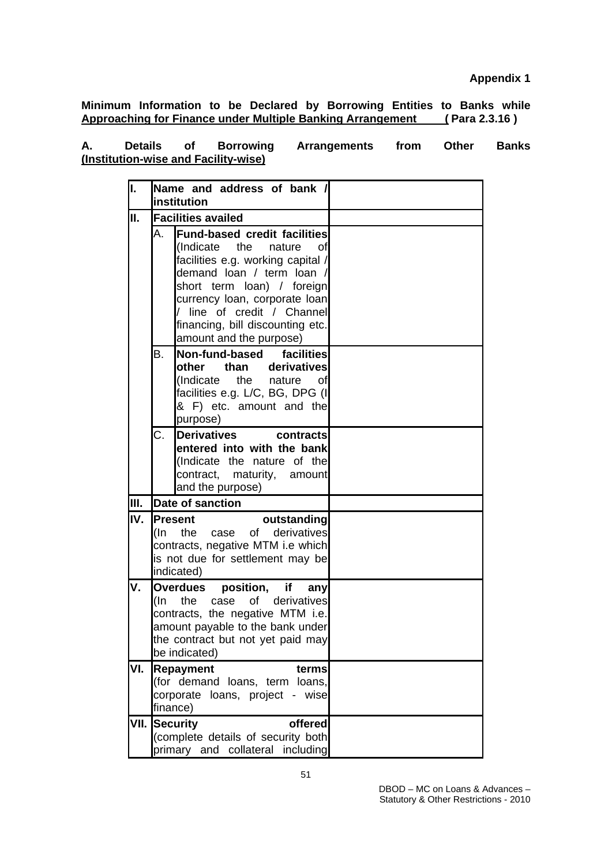**Minimum Information to be Declared by Borrowing Entities to Banks while Approaching for Finance under Multiple Banking Arrangement ( Para 2.3.16 )**

| А. | <b>Details</b> | 0f | <b>Borrowing</b>                     | <b>Arrangements</b> | from | Other | <b>Banks</b> |
|----|----------------|----|--------------------------------------|---------------------|------|-------|--------------|
|    |                |    | (Institution-wise and Facility-wise) |                     |      |       |              |

| I.   |     | Name and address of bank /<br>institution                                                                                                                                                                                                                                                       |  |
|------|-----|-------------------------------------------------------------------------------------------------------------------------------------------------------------------------------------------------------------------------------------------------------------------------------------------------|--|
| П.   |     | <b>Facilities availed</b>                                                                                                                                                                                                                                                                       |  |
|      | Α.  | <b>Fund-based credit facilities</b><br>(Indicate the nature<br>Ωf<br>facilities e.g. working capital /<br>demand loan / term loan /<br>short term loan) / foreign<br>currency loan, corporate loan<br>/ line of credit / Channel<br>financing, bill discounting etc.<br>amount and the purpose) |  |
|      | В.  | Non-fund-based<br>facilities<br>derivatives<br>other<br>than<br>(Indicate<br>the nature<br>οf<br>facilities e.g. L/C, BG, DPG (I<br>& F) etc. amount and the<br>purpose)                                                                                                                        |  |
|      | C.  | <b>Derivatives</b><br>contracts<br>entered into with the bank<br>(Indicate the nature of the<br>contract, maturity, amount<br>and the purpose)                                                                                                                                                  |  |
| Ш.   |     | <b>Date of sanction</b>                                                                                                                                                                                                                                                                         |  |
| IV.  | (In | <b>Present</b><br>outstanding<br>derivatives<br>the<br>of<br>case<br>contracts, negative MTM i.e which<br>is not due for settlement may be<br>indicated)                                                                                                                                        |  |
| ٧.   | (In | <b>Overdues</b><br>position, if<br>any<br>the<br>derivatives<br>of<br>case<br>contracts, the negative MTM i.e.<br>amount payable to the bank under<br>the contract but not yet paid may<br>be indicated)                                                                                        |  |
| VI.  |     | <b>Repayment</b><br>terms<br>(for demand loans, term loans,<br>corporate loans, project - wise<br>finance)                                                                                                                                                                                      |  |
| VII. |     | Security<br>offered<br>(complete details of security both<br>primary and collateral including                                                                                                                                                                                                   |  |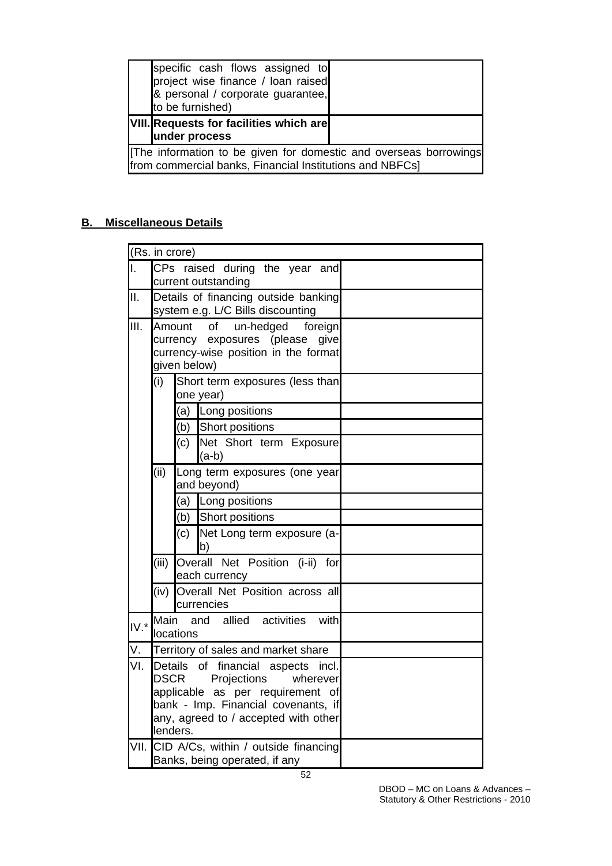| specific cash flows assigned to<br>project wise finance / loan raised<br>& personal / corporate guarantee,<br>to be furnished) |  |
|--------------------------------------------------------------------------------------------------------------------------------|--|
| VIII. Requests for facilities which are<br>under process                                                                       |  |
| [The information to be given for domestic and overseas borrowings]<br>from commercial banks, Financial Institutions and NBFCs] |  |

# **B. Miscellaneous Details**

| (Rs. in crore)                                                                                                                                                                                                        |
|-----------------------------------------------------------------------------------------------------------------------------------------------------------------------------------------------------------------------|
| CPs raised during the year and<br>Ι.<br>current outstanding                                                                                                                                                           |
| II.<br>Details of financing outside banking<br>system e.g. L/C Bills discounting                                                                                                                                      |
| III.<br><b>of</b><br>un-hedged<br>foreign<br>Amount<br>exposures (please<br>currency<br>give<br>currency-wise position in the format<br>given below)                                                                  |
| Short term exposures (less than<br>(i)<br>one year)                                                                                                                                                                   |
| (a) Long positions                                                                                                                                                                                                    |
| Short positions<br>(b)                                                                                                                                                                                                |
| Net Short term Exposure<br>(c)<br>$(a-b)$                                                                                                                                                                             |
| Long term exposures (one year<br>(ii)<br>and beyond)                                                                                                                                                                  |
| (a) Long positions                                                                                                                                                                                                    |
| Short positions<br>(b)                                                                                                                                                                                                |
| (c)<br>Net Long term exposure (a-<br>b)                                                                                                                                                                               |
| (iii)<br>Overall Net Position (i-ii)<br>for<br>each currency                                                                                                                                                          |
| Overall Net Position across all<br>(iv)<br>currencies                                                                                                                                                                 |
| Main<br>and allied activities<br>with<br>$IV.*$<br>locations                                                                                                                                                          |
| V.<br>Territory of sales and market share                                                                                                                                                                             |
| VI.<br>Details of financial aspects<br>incl.<br><b>DSCR</b><br>Projections<br>wherever<br>applicable as per requirement of<br>bank - Imp. Financial covenants, if<br>any, agreed to / accepted with other<br>lenders. |
| VII.<br>CID A/Cs, within / outside financing<br>Banks, being operated, if any                                                                                                                                         |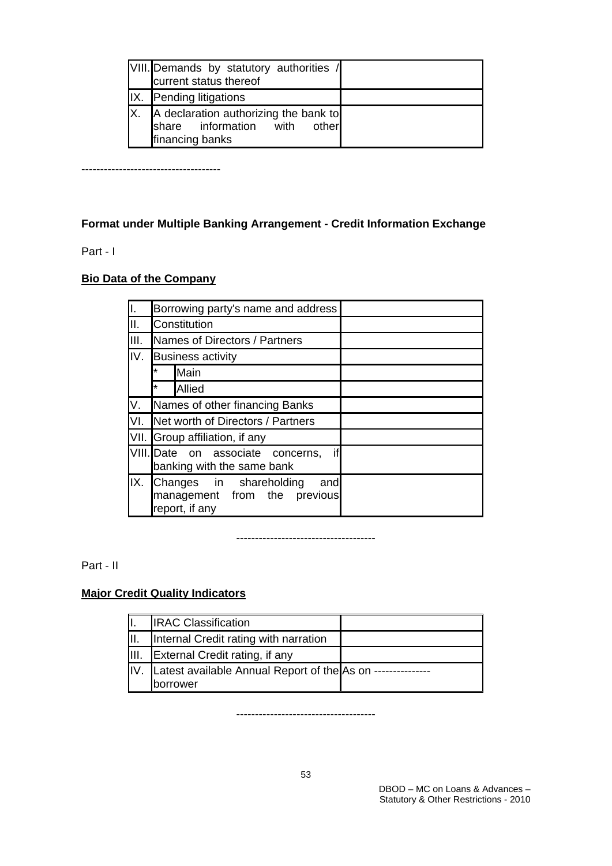| VIII. Demands by statutory authorities /<br>current status thereof                       |  |
|------------------------------------------------------------------------------------------|--|
| IX. Pending litigations                                                                  |  |
| A declaration authorizing the bank to<br>share information with other<br>financing banks |  |

-------------------------------------

# **Format under Multiple Banking Arrangement - Credit Information Exchange**

### Part - I

## **Bio Data of the Company**

| Ι.   |                                                                                     | Borrowing party's name and address |  |  |
|------|-------------------------------------------------------------------------------------|------------------------------------|--|--|
| Ⅱ.   |                                                                                     | Constitution                       |  |  |
| III. |                                                                                     | Names of Directors / Partners      |  |  |
| IV.  |                                                                                     | <b>Business activity</b>           |  |  |
|      | *                                                                                   | Main                               |  |  |
|      | $\star$                                                                             | Allied                             |  |  |
| V.   |                                                                                     | Names of other financing Banks     |  |  |
| VI.  |                                                                                     | Net worth of Directors / Partners  |  |  |
|      |                                                                                     | VII. Group affiliation, if any     |  |  |
|      | if<br>VIII. Date on associate concerns,<br>banking with the same bank               |                                    |  |  |
| IX.  | Changes in shareholding<br>and<br>management from the<br>previous<br>report, if any |                                    |  |  |

-------------------------------------

Part - II

# **Major Credit Quality Indicators**

|                  | <b>IRAC Classification</b>                                     |  |
|------------------|----------------------------------------------------------------|--|
|                  | Internal Credit rating with narration                          |  |
| $\parallel$ III. | External Credit rating, if any                                 |  |
|                  | IV. Latest available Annual Report of the As on -------------- |  |
|                  | borrower                                                       |  |

-------------------------------------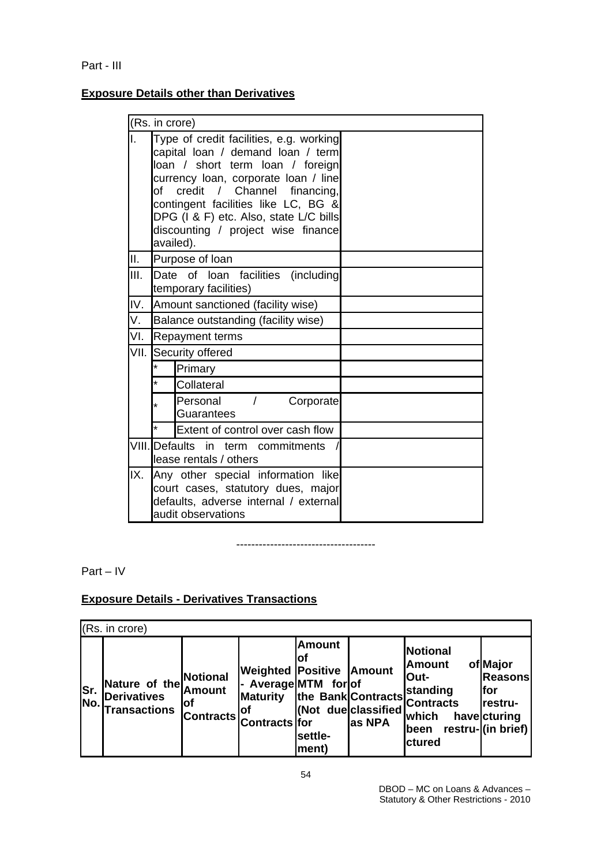## **Exposure Details other than Derivatives**

|      |                                                                                                                                                                                                                                                                                                                                      | (Rs. in crore)                                    |  |  |  |  |
|------|--------------------------------------------------------------------------------------------------------------------------------------------------------------------------------------------------------------------------------------------------------------------------------------------------------------------------------------|---------------------------------------------------|--|--|--|--|
| I.   | Type of credit facilities, e.g. working<br>capital loan / demand loan / term<br>loan / short term loan / foreign<br>currency loan, corporate loan / line<br>credit / Channel<br>of<br>financing,<br>contingent facilities like LC, BG &<br>DPG (I & F) etc. Also, state L/C bills<br>discounting / project wise finance<br>availed). |                                                   |  |  |  |  |
| ΙΙ.  |                                                                                                                                                                                                                                                                                                                                      | Purpose of loan                                   |  |  |  |  |
| III. | Date of loan facilities (including<br>temporary facilities)                                                                                                                                                                                                                                                                          |                                                   |  |  |  |  |
| IV.  | Amount sanctioned (facility wise)                                                                                                                                                                                                                                                                                                    |                                                   |  |  |  |  |
| V.   | Balance outstanding (facility wise)                                                                                                                                                                                                                                                                                                  |                                                   |  |  |  |  |
| VI.  |                                                                                                                                                                                                                                                                                                                                      | <b>Repayment terms</b>                            |  |  |  |  |
|      |                                                                                                                                                                                                                                                                                                                                      | VII. Security offered                             |  |  |  |  |
|      | $\star$                                                                                                                                                                                                                                                                                                                              | Primary                                           |  |  |  |  |
|      |                                                                                                                                                                                                                                                                                                                                      | Collateral                                        |  |  |  |  |
|      |                                                                                                                                                                                                                                                                                                                                      | Personal<br>$\sqrt{2}$<br>Corporate<br>Guarantees |  |  |  |  |
|      |                                                                                                                                                                                                                                                                                                                                      | Extent of control over cash flow                  |  |  |  |  |
|      | VIII. Defaults in term commitments<br>lease rentals / others                                                                                                                                                                                                                                                                         |                                                   |  |  |  |  |
|      | IX. Any other special information like<br>court cases, statutory dues, major<br>defaults, adverse internal / external<br>audit observations                                                                                                                                                                                          |                                                   |  |  |  |  |

-------------------------------------

Part – IV

# **Exposure Details - Derivatives Transactions**

|     | (Rs. in crore)                                                            |                                                      |                                                                                                         |                                          |                                               |                                                                                                      |                                                                                    |  |
|-----|---------------------------------------------------------------------------|------------------------------------------------------|---------------------------------------------------------------------------------------------------------|------------------------------------------|-----------------------------------------------|------------------------------------------------------------------------------------------------------|------------------------------------------------------------------------------------|--|
| Sr. | Nature of the<br><b>Derivatives</b><br>$\vert$ No. $\vert$ Transactions ' | Notional<br><b>Amount</b><br>lof<br><b>Contracts</b> | <b>Weighted Positive</b><br>- Average MTM for of<br>Maturity the Bank Contracts<br>lot<br>Contracts for | <b>Amount</b><br>ΙOΙ<br>settle-<br>ment) | <b>Amount</b><br>(Not dueclassified<br>as NPA | <b>Notional</b><br><b>Amount</b><br>lOut-<br>standing<br><b>Contracts</b><br>which<br>been<br>ctured | of Major<br><b>Reasons</b><br>lfor<br>restru-<br>havecturing<br>restru-((in brief) |  |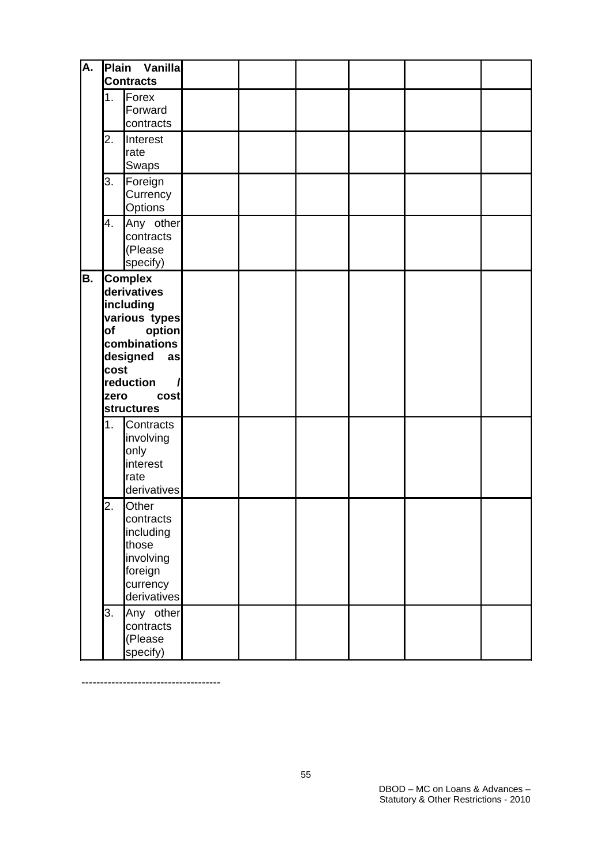| А. | Plain<br>Vanilla<br><b>Contracts</b> |                                                                                                                                                                                                 |  |  |  |
|----|--------------------------------------|-------------------------------------------------------------------------------------------------------------------------------------------------------------------------------------------------|--|--|--|
|    | 1.                                   | Forex<br>Forward<br>contracts                                                                                                                                                                   |  |  |  |
|    | 2.                                   | Interest<br>rate<br>Swaps                                                                                                                                                                       |  |  |  |
|    | 3.                                   | Foreign<br>Currency<br>Options                                                                                                                                                                  |  |  |  |
|    | 4.                                   | Any other<br>contracts<br>(Please<br>specify)                                                                                                                                                   |  |  |  |
| В. | of<br>cost<br>zero<br>1.             | <b>Complex</b><br>derivatives<br>including<br>various types<br>option<br>combinations<br>designed<br>as<br>reduction<br>cost<br><b>structures</b><br>Contracts<br>involving<br>only<br>interest |  |  |  |
|    | 2.                                   | rate<br>derivatives<br>Other<br>contracts<br>including<br>those<br>involving<br>foreign<br>currency<br>derivatives                                                                              |  |  |  |
|    | 3.                                   | Any other<br>contracts<br>(Please<br>specify)                                                                                                                                                   |  |  |  |

-------------------------------------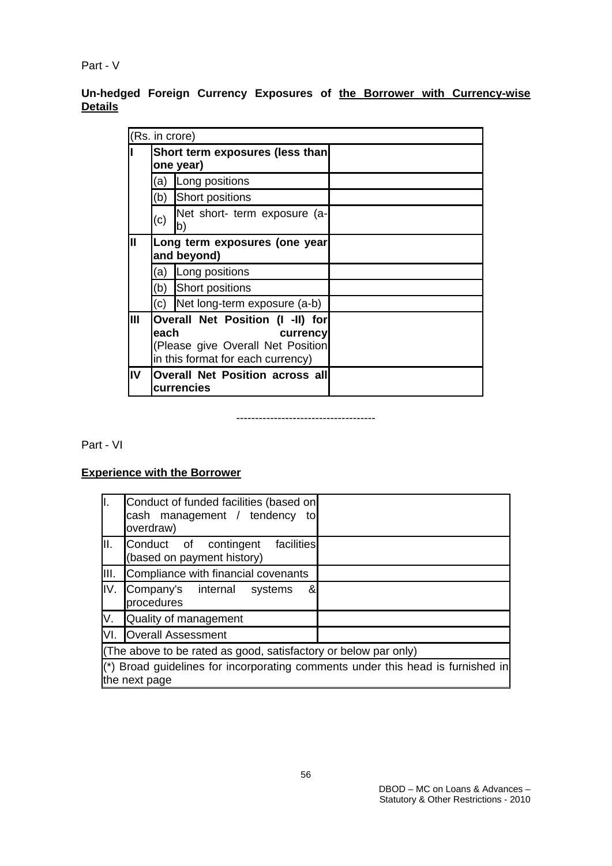Part - V

**Un-hedged Foreign Currency Exposures of the Borrower with Currency-wise Details**

|                | (Rs. in crore) |                                                                                                                        |  |
|----------------|----------------|------------------------------------------------------------------------------------------------------------------------|--|
|                |                | Short term exposures (less than<br>one year)                                                                           |  |
|                | (a)            | Long positions                                                                                                         |  |
|                | (b)            | Short positions                                                                                                        |  |
|                | (c)            | Net short- term exposure (a-<br>b)                                                                                     |  |
| $\mathbf{II}$  |                | Long term exposures (one year<br>and beyond)                                                                           |  |
|                | (a)            | Long positions                                                                                                         |  |
|                | (b)            | Short positions                                                                                                        |  |
|                | (c)            | Net long-term exposure (a-b)                                                                                           |  |
| $\mathbf{III}$ | each           | Overall Net Position (I -II) for<br>currency<br>(Please give Overall Net Position<br>in this format for each currency) |  |
| IV             |                | <b>Overall Net Position across all</b><br>currencies                                                                   |  |

-------------------------------------

Part - VI

## **Experience with the Borrower**

| ΙΙ.  | Conduct of funded facilities (based on<br>cash management / tendency<br>to<br>overdraw)          |  |  |  |  |  |
|------|--------------------------------------------------------------------------------------------------|--|--|--|--|--|
| III. | Conduct of contingent facilities<br>(based on payment history)                                   |  |  |  |  |  |
| III. | Compliance with financial covenants                                                              |  |  |  |  |  |
| IV.  | &<br>Company's internal<br>systems<br>procedures                                                 |  |  |  |  |  |
| V.   | Quality of management                                                                            |  |  |  |  |  |
| VI.  | <b>Overall Assessment</b>                                                                        |  |  |  |  |  |
|      | (The above to be rated as good, satisfactory or below par only)                                  |  |  |  |  |  |
|      | (*) Broad guidelines for incorporating comments under this head is furnished in<br>the next page |  |  |  |  |  |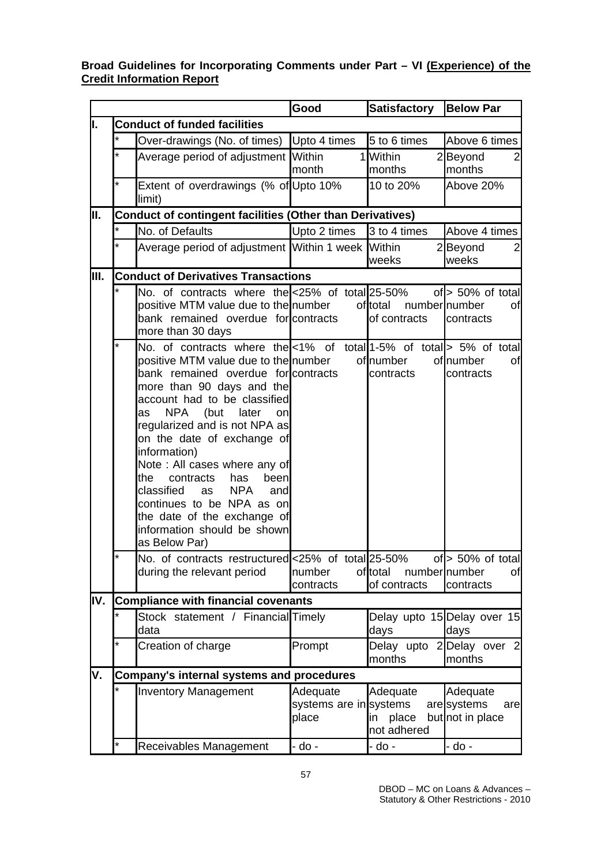### **Broad Guidelines for Incorporating Comments under Part – VI (Experience) of the Credit Information Report**

|      |                                                                  |                                                                                                                                                                                                                                                                                                                                                                                                                                                                                                                                                                 | Good                                        | <b>Satisfactory</b>                      | <b>Below Par</b>                                  |  |  |  |
|------|------------------------------------------------------------------|-----------------------------------------------------------------------------------------------------------------------------------------------------------------------------------------------------------------------------------------------------------------------------------------------------------------------------------------------------------------------------------------------------------------------------------------------------------------------------------------------------------------------------------------------------------------|---------------------------------------------|------------------------------------------|---------------------------------------------------|--|--|--|
| II.  |                                                                  | <b>Conduct of funded facilities</b>                                                                                                                                                                                                                                                                                                                                                                                                                                                                                                                             |                                             |                                          |                                                   |  |  |  |
|      | *                                                                | Over-drawings (No. of times)                                                                                                                                                                                                                                                                                                                                                                                                                                                                                                                                    | Upto 4 times                                | 5 to 6 times                             | Above 6 times                                     |  |  |  |
|      |                                                                  | Average period of adjustment                                                                                                                                                                                                                                                                                                                                                                                                                                                                                                                                    | Within<br>11<br>month                       | Within<br>months                         | 2Beyond<br>2<br>months                            |  |  |  |
|      | *                                                                | Extent of overdrawings (% of Upto 10%<br>limit)                                                                                                                                                                                                                                                                                                                                                                                                                                                                                                                 |                                             | 10 to 20%                                | Above 20%                                         |  |  |  |
| III. | <b>Conduct of contingent facilities (Other than Derivatives)</b> |                                                                                                                                                                                                                                                                                                                                                                                                                                                                                                                                                                 |                                             |                                          |                                                   |  |  |  |
|      |                                                                  | No. of Defaults                                                                                                                                                                                                                                                                                                                                                                                                                                                                                                                                                 | Upto 2 times                                | 3 to 4 times                             | Above 4 times                                     |  |  |  |
|      | $\star$                                                          | Average period of adjustment Within 1 week Within                                                                                                                                                                                                                                                                                                                                                                                                                                                                                                               |                                             | weeks                                    | 2Beyond<br>$\overline{2}$<br>weeks                |  |  |  |
| III. |                                                                  | <b>Conduct of Derivatives Transactions</b>                                                                                                                                                                                                                                                                                                                                                                                                                                                                                                                      |                                             |                                          |                                                   |  |  |  |
|      |                                                                  | No. of contracts where the <25% of total 25-50%<br>positive MTM value due to the number<br>bank remained overdue for contracts<br>more than 30 days                                                                                                                                                                                                                                                                                                                                                                                                             |                                             | of total<br>numbernumber<br>of contracts | of $> 50\%$ of total<br>of<br>contracts           |  |  |  |
|      | *                                                                | No. of contracts where the <1% of total 1-5% of total > 5% of total<br>positive MTM value due to the number<br>bank remained overdue for contracts<br>more than 90 days and the<br>account had to be classified<br>NPA (but<br>later<br>as<br>onl<br>regularized and is not NPA as<br>on the date of exchange of<br>information)<br>Note: All cases where any of<br>contracts<br>been<br>the<br>has<br>classified<br><b>NPA</b><br><b>as</b><br>and<br>continues to be NPA as on<br>the date of the exchange of<br>information should be shown<br>as Below Par) |                                             | ofnumber<br>contracts                    | of number<br>οf<br>contracts                      |  |  |  |
|      |                                                                  | No. of contracts restructuredl<25% of totall25-50%                                                                                                                                                                                                                                                                                                                                                                                                                                                                                                              |                                             |                                          | of $\ge$ 50% of total                             |  |  |  |
|      |                                                                  | during the relevant period                                                                                                                                                                                                                                                                                                                                                                                                                                                                                                                                      | number<br>contracts                         | oftotal<br>numbernumber<br>of contracts  | of<br>contracts                                   |  |  |  |
| IV.  | <b>Compliance with financial covenants</b>                       |                                                                                                                                                                                                                                                                                                                                                                                                                                                                                                                                                                 |                                             |                                          |                                                   |  |  |  |
|      |                                                                  | Stock statement / Financial Timely<br>data                                                                                                                                                                                                                                                                                                                                                                                                                                                                                                                      |                                             | days                                     | Delay upto 15 Delay over 15<br>days               |  |  |  |
|      | *                                                                | Creation of charge                                                                                                                                                                                                                                                                                                                                                                                                                                                                                                                                              | Prompt                                      | months                                   | Delay upto 2 Delay over 2<br>months               |  |  |  |
| ۷.   | Company's internal systems and procedures                        |                                                                                                                                                                                                                                                                                                                                                                                                                                                                                                                                                                 |                                             |                                          |                                                   |  |  |  |
|      |                                                                  | <b>Inventory Management</b>                                                                                                                                                                                                                                                                                                                                                                                                                                                                                                                                     | Adequate<br>systems are in systems<br>place | Adequate<br>place<br>in<br>not adhered   | Adequate<br>aresystems<br>are<br>but not in place |  |  |  |
|      | *                                                                | Receivables Management                                                                                                                                                                                                                                                                                                                                                                                                                                                                                                                                          | - do -                                      | - do -                                   | - do -                                            |  |  |  |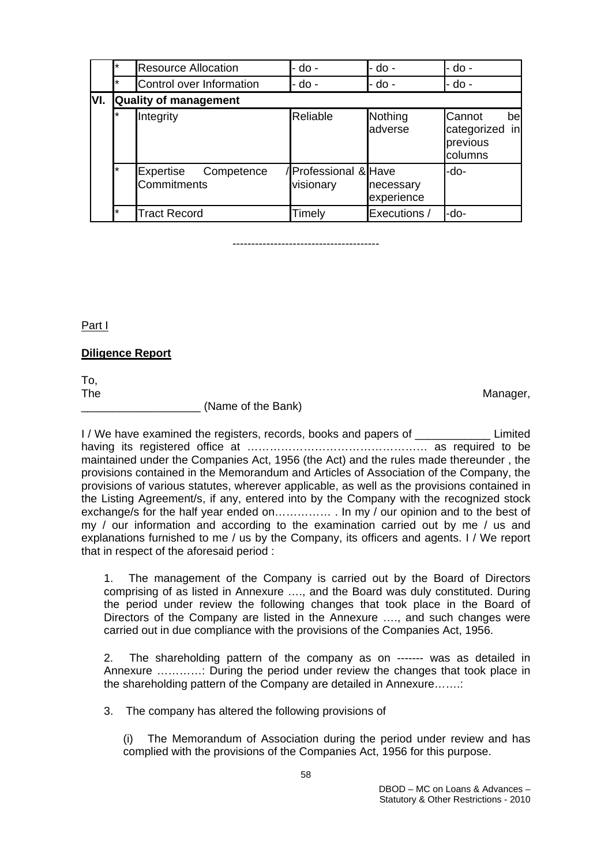|      | $\star$                      | <b>Resource Allocation</b>             | - do -                            | - do -                  | - do -                                                     |  |  |  |
|------|------------------------------|----------------------------------------|-----------------------------------|-------------------------|------------------------------------------------------------|--|--|--|
|      | $\star$                      | Control over Information               | - do -                            | - do -                  | - do -                                                     |  |  |  |
| IVI. | <b>Quality of management</b> |                                        |                                   |                         |                                                            |  |  |  |
|      | $\star$                      | Integrity                              | Reliable                          | Nothing<br>adverse      | Cannot<br>bel<br>categorized<br>inl<br>previous<br>columns |  |  |  |
|      | $\star$                      | Expertise<br>Competence<br>Commitments | /Professional & Have<br>visionary | necessary<br>experience | -do-                                                       |  |  |  |
|      | $\star$                      | <b>Tract Record</b>                    | Timely                            | Executions /            | -do-                                                       |  |  |  |

---------------------------------------

Part I

#### **Diligence Report**

To, The **Manager,** The Manager, The Manager, The Manager, The Manager, The Manager, The Manager, The Manager, The Manager, The Manager, The Manager, The Manager, The Manager, The Manager, The Manager, The Manager, The Manager,

\_\_\_\_\_\_\_\_\_\_\_\_\_\_\_\_\_\_\_ (Name of the Bank)

I / We have examined the registers, records, books and papers of **Limited** having its registered office at ………………………………………… as required to be maintained under the Companies Act, 1956 (the Act) and the rules made thereunder , the provisions contained in the Memorandum and Articles of Association of the Company, the provisions of various statutes, wherever applicable, as well as the provisions contained in the Listing Agreement/s, if any, entered into by the Company with the recognized stock exchange/s for the half year ended on………………… In my / our opinion and to the best of my / our information and according to the examination carried out by me / us and explanations furnished to me / us by the Company, its officers and agents. I / We report that in respect of the aforesaid period :

1. The management of the Company is carried out by the Board of Directors comprising of as listed in Annexure …., and the Board was duly constituted. During the period under review the following changes that took place in the Board of Directors of the Company are listed in the Annexure …., and such changes were carried out in due compliance with the provisions of the Companies Act, 1956.

2. The shareholding pattern of the company as on ------- was as detailed in Annexure …………: During the period under review the changes that took place in the shareholding pattern of the Company are detailed in Annexure…….:

3. The company has altered the following provisions of

(i) The Memorandum of Association during the period under review and has complied with the provisions of the Companies Act, 1956 for this purpose.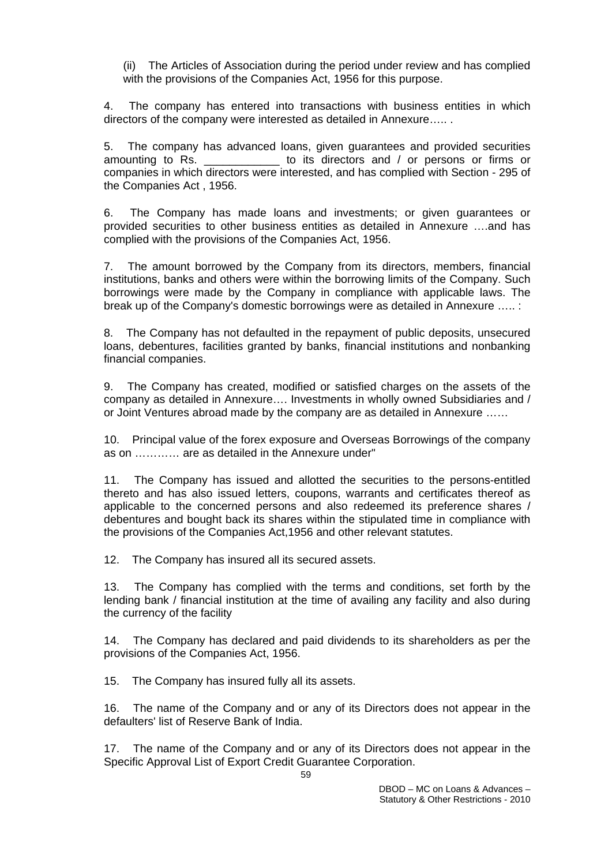(ii) The Articles of Association during the period under review and has complied with the provisions of the Companies Act, 1956 for this purpose.

4. The company has entered into transactions with business entities in which directors of the company were interested as detailed in Annexure….. .

5. The company has advanced loans, given guarantees and provided securities amounting to Rs. \_\_\_\_\_\_\_\_\_\_\_\_ to its directors and / or persons or firms or companies in which directors were interested, and has complied with Section - 295 of the Companies Act , 1956.

6. The Company has made loans and investments; or given guarantees or provided securities to other business entities as detailed in Annexure ….and has complied with the provisions of the Companies Act, 1956.

7. The amount borrowed by the Company from its directors, members, financial institutions, banks and others were within the borrowing limits of the Company. Such borrowings were made by the Company in compliance with applicable laws. The break up of the Company's domestic borrowings were as detailed in Annexure ….. :

8. The Company has not defaulted in the repayment of public deposits, unsecured loans, debentures, facilities granted by banks, financial institutions and nonbanking financial companies.

9. The Company has created, modified or satisfied charges on the assets of the company as detailed in Annexure…. Investments in wholly owned Subsidiaries and / or Joint Ventures abroad made by the company are as detailed in Annexure ……

10. Principal value of the forex exposure and Overseas Borrowings of the company as on ………… are as detailed in the Annexure under"

11. The Company has issued and allotted the securities to the persons-entitled thereto and has also issued letters, coupons, warrants and certificates thereof as applicable to the concerned persons and also redeemed its preference shares / debentures and bought back its shares within the stipulated time in compliance with the provisions of the Companies Act,1956 and other relevant statutes.

12. The Company has insured all its secured assets.

13. The Company has complied with the terms and conditions, set forth by the lending bank / financial institution at the time of availing any facility and also during the currency of the facility

14. The Company has declared and paid dividends to its shareholders as per the provisions of the Companies Act, 1956.

15. The Company has insured fully all its assets.

16. The name of the Company and or any of its Directors does not appear in the defaulters' list of Reserve Bank of India.

17. The name of the Company and or any of its Directors does not appear in the Specific Approval List of Export Credit Guarantee Corporation.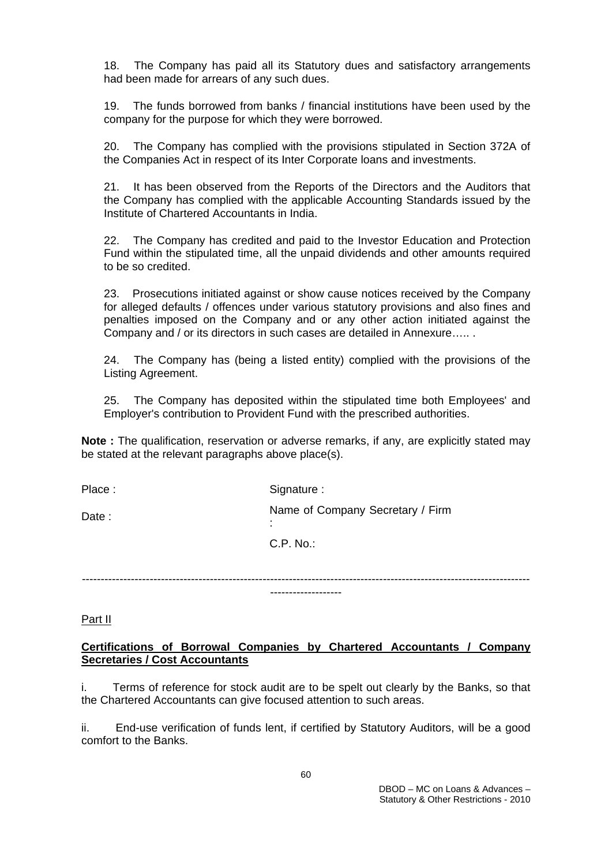18. The Company has paid all its Statutory dues and satisfactory arrangements had been made for arrears of any such dues.

19. The funds borrowed from banks / financial institutions have been used by the company for the purpose for which they were borrowed.

20. The Company has complied with the provisions stipulated in Section 372A of the Companies Act in respect of its Inter Corporate loans and investments.

21. It has been observed from the Reports of the Directors and the Auditors that the Company has complied with the applicable Accounting Standards issued by the Institute of Chartered Accountants in India.

22. The Company has credited and paid to the Investor Education and Protection Fund within the stipulated time, all the unpaid dividends and other amounts required to be so credited.

23. Prosecutions initiated against or show cause notices received by the Company for alleged defaults / offences under various statutory provisions and also fines and penalties imposed on the Company and or any other action initiated against the Company and / or its directors in such cases are detailed in Annexure….. .

24. The Company has (being a listed entity) complied with the provisions of the Listing Agreement.

25. The Company has deposited within the stipulated time both Employees' and Employer's contribution to Provident Fund with the prescribed authorities.

**Note :** The qualification, reservation or adverse remarks, if any, are explicitly stated may be stated at the relevant paragraphs above place(s).

Place : Signature : Signature : Date : Name of Company Secretary / Firm : C.P. No.:

----------------------------------------------------------------------------------------------------------------------- -------------------

Part II

### **Certifications of Borrowal Companies by Chartered Accountants / Company Secretaries / Cost Accountants**

i. Terms of reference for stock audit are to be spelt out clearly by the Banks, so that the Chartered Accountants can give focused attention to such areas.

ii. End-use verification of funds lent, if certified by Statutory Auditors, will be a good comfort to the Banks.